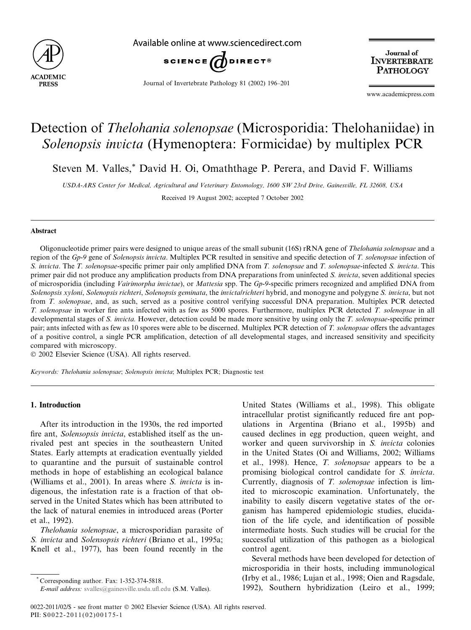

Available online at www.sciencedirect.com



Journal of Invertebrate Pathology 81 (2002) 196–201

Journal of **INVERTEBRATE PATHOLOGY** 

www.academicpress.com

# Detection of Thelohania solenopsae (Microsporidia: Thelohaniidae) in Solenopsis invicta (Hymenoptera: Formicidae) by multiplex PCR

Steven M. Valles,\* David H. Oi, Omaththage P. Perera, and David F. Williams

USDA-ARS Center for Medical, Agricultural and Veterinary Entomology, 1600 SW 23rd Drive, Gainesville, FL 32608, USA Received 19 August 2002; accepted 7 October 2002

#### Abstract

Oligonucleotide primer pairs were designed to unique areas of the small subunit (16S) rRNA gene of Thelohania solenopsae and a region of the Gp-9 gene of Solenopsis invicta. Multiplex PCR resulted in sensitive and specific detection of T. solenopsae infection of S. invicta. The T. solenopsae-specific primer pair only amplified DNA from T. solenopsae and T. solenopsae-infected S. invicta. This primer pair did not produce any amplification products from DNA preparations from uninfected S. invicta, seven additional species of microsporidia (including Vairimorpha invictae), or Mattesia spp. The Gp-9-specific primers recognized and amplified DNA from Solenopsis xyloni, Solenopsis richteri, Solenopsis geminata, the invicta/richteri hybrid, and monogyne and polygyne S. invicta, but not from T. solenopsae, and, as such, served as a positive control verifying successful DNA preparation. Multiplex PCR detected T. solenopsae in worker fire ants infected with as few as 5000 spores. Furthermore, multiplex PCR detected T. solenopsae in all developmental stages of S. invicta. However, detection could be made more sensitive by using only the T. solenopsae-specific primer pair; ants infected with as few as 10 spores were able to be discerned. Multiplex PCR detection of T. solenopsae offers the advantages of a positive control, a single PCR amplification, detection of all developmental stages, and increased sensitivity and specificity compared with microscopy.

 $© 2002 Elsevier Science (USA)$ . All rights reserved.

Keywords: Thelohania solenopsae; Solenopsis invicta; Multiplex PCR; Diagnostic test

## 1. Introduction

After its introduction in the 1930s, the red imported fire ant, Solensopsis invicta, established itself as the unrivaled pest ant species in the southeastern United States. Early attempts at eradication eventually yielded to quarantine and the pursuit of sustainable control methods in hope of establishing an ecological balance (Williams et al., 2001). In areas where S. invicta is indigenous, the infestation rate is a fraction of that observed in the United States which has been attributed to the lack of natural enemies in introduced areas (Porter et al., 1992).

Thelohania solenopsae, a microsporidian parasite of S. invicta and Solensopsis richteri (Briano et al., 1995a; Knell et al., 1977), has been found recently in the

United States (Williams et al., 1998). This obligate intracellular protist significantly reduced fire ant populations in Argentina (Briano et al., 1995b) and caused declines in egg production, queen weight, and worker and queen survivorship in S. *invicta* colonies in the United States (Oi and Williams, 2002; Williams et al., 1998). Hence, T. solenopsae appears to be a promising biological control candidate for S. invicta. Currently, diagnosis of T. solenopsae infection is limited to microscopic examination. Unfortunately, the inability to easily discern vegetative states of the organism has hampered epidemiologic studies, elucidation of the life cycle, and identification of possible intermediate hosts. Such studies will be crucial for the successful utilization of this pathogen as a biological control agent.

Several methods have been developed for detection of microsporidia in their hosts, including immunological (Irby et al., 1986; Lujan et al., 1998; Oien and Ragsdale, 1992), Southern hybridization (Leiro et al., 1999;

<sup>\*</sup> Corresponding author. Fax: 1-352-374-5818.

E-mail address: svalles@gainesville.usda.ufl.edu (S.M. Valles).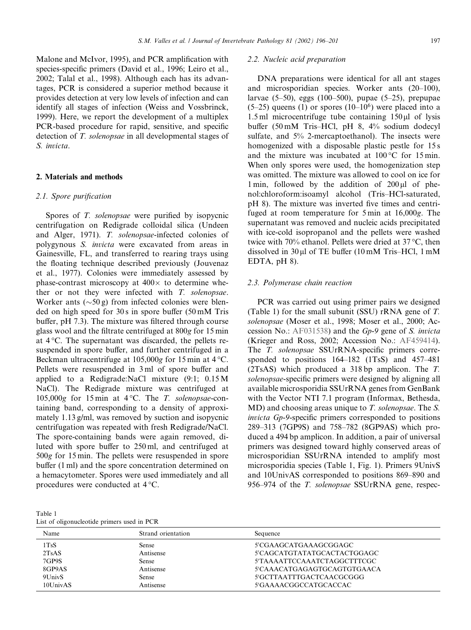Malone and McIvor, 1995), and PCR amplification with species-specific primers (David et al., 1996; Leiro et al., 2002; Talal et al., 1998). Although each has its advantages, PCR is considered a superior method because it provides detection at very low levels of infection and can identify all stages of infection (Weiss and Vossbrinck, 1999). Here, we report the development of a multiplex PCR-based procedure for rapid, sensitive, and specific detection of T. solenopsae in all developmental stages of S. invicta.

#### 2. Materials and methods

#### 2.1. Spore purification

Spores of T. solenopsae were purified by isopycnic centrifugation on Redigrade colloidal silica (Undeen and Alger, 1971). T. solenopsae-infected colonies of polygynous S. invicta were excavated from areas in Gainesville, FL, and transferred to rearing trays using the floating technique described previously (Jouvenaz et al., 1977). Colonies were immediately assessed by phase-contrast microscopy at  $400 \times$  to determine whether or not they were infected with T. solenopsae. Worker ants  $(\sim 50 \text{ g})$  from infected colonies were blended on high speed for 30 s in spore buffer (50 mM Tris buffer, pH 7.3). The mixture was filtered through course glass wool and the filtrate centrifuged at 800g for 15 min at  $4^{\circ}$ C. The supernatant was discarded, the pellets resuspended in spore buffer, and further centrifuged in a Beckman ultracentrifuge at  $105,000g$  for 15 min at 4 °C. Pellets were resuspended in 3 ml of spore buffer and applied to a Redigrade:NaCl mixture (9:1; 0.15 M NaCl). The Redigrade mixture was centrifuged at 105,000g for 15 min at  $4^{\circ}$ C. The *T. solenopsae*-containing band, corresponding to a density of approximately 1.13 g/ml, was removed by suction and isopycnic centrifugation was repeated with fresh Redigrade/NaCl. The spore-containing bands were again removed, diluted with spore buffer to 250 ml, and centrifuged at 500g for 15 min. The pellets were resuspended in spore buffer (1 ml) and the spore concentration determined on a hemacytometer. Spores were used immediately and all procedures were conducted at 4 °C.

| Table 1 |                                             |  |  |
|---------|---------------------------------------------|--|--|
|         | List of oligonucleotide primers used in PCR |  |  |

## 2.2. Nucleic acid preparation

DNA preparations were identical for all ant stages and microsporidian species. Worker ants (20–100), larvae (5–50), eggs (100–500), pupae (5–25), prepupae  $(5-25)$  queens (1) or spores  $(10-10^6)$  were placed into a  $1.5$  ml microcentrifuge tube containing  $150 \mu l$  of lysis buffer (50 mM Tris–HCl, pH 8, 4% sodium dodecyl sulfate, and 5% 2-mercaptoethanol). The insects were homogenized with a disposable plastic pestle for 15 s and the mixture was incubated at  $100\degree$ C for 15 min. When only spores were used, the homogenization step was omitted. The mixture was allowed to cool on ice for 1 min, followed by the addition of  $200 \mu$ l of phenol:chloroform:isoamyl alcohol (Tris–HCl-saturated, pH 8). The mixture was inverted five times and centrifuged at room temperature for 5 min at 16,000g. The supernatant was removed and nucleic acids precipitated with ice-cold isopropanol and the pellets were washed twice with 70% ethanol. Pellets were dried at  $37^{\circ}$ C, then dissolved in  $30 \mu$ l of TE buffer (10 mM Tris–HCl, 1 mM EDTA, pH 8).

## 2.3. Polymerase chain reaction

PCR was carried out using primer pairs we designed (Table 1) for the small subunit (SSU) rRNA gene of T. solenopsae (Moser et al., 1998; Moser et al., 2000; Accession No.: [AF031538\)](http://www.ncbi.nlm.nih.gov/entrez/query.fcgi?db=nucleotide&cmd=search&term=AF031538) and the Gp-9 gene of S. invicta (Krieger and Ross, 2002; Accession No.: [AF459414\)](http://www.ncbi.nlm.nih.gov/entrez/query.fcgi?db=nucleotide&cmd=search&term=AF459414). The *T. solenopsae* SSUrRNA-specific primers corresponded to positions 164–182 (1TsS) and 457–481 (2TsAS) which produced a 318 bp amplicon. The T. solenopsae-specific primers were designed by aligning all available microsporidia SSUrRNA genes from GenBank with the Vector NTI 7.1 program (Informax, Bethesda, MD) and choosing areas unique to T. solenopsae. The S. invicta Gp-9-specific primers corresponded to positions 289–313 (7GP9S) and 758–782 (8GP9AS) which produced a 494 bp amplicon. In addition, a pair of universal primers was designed toward highly conserved areas of microsporidian SSUrRNA intended to amplify most microsporidia species (Table 1, Fig. 1). Primers 9UnivS and 10UnivAS corresponded to positions 869–890 and 956–974 of the T. solenopsae SSUrRNA gene, respec-

| Name     | Strand orientation | Sequence                    |
|----------|--------------------|-----------------------------|
| 1TsS     | Sense              | 5'CGAAGCATGAAAGCGGAGC       |
| 2TsAS    | Antisense          | 5'CAGCATGTATATGCACTACTGGAGC |
| 7GP9S    | Sense              | 5'TAAAATTCCAAATCTAGGCTTTCGC |
| 8GP9AS   | Antisense          | 5'CAAACATGAGAGTGCAGTGTGAACA |
| 9UnivS   | Sense              | 5'GCTTAATTTGACTCAACGCGGG    |
| 10UnivAS | Antisense          | 5'GAAAACGGCCATGCACCAC       |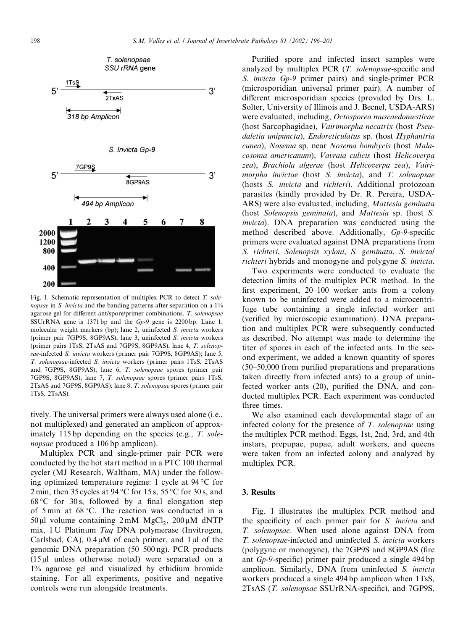

Fig. 1. Schematic representation of multiplex PCR to detect T. solenopsae in S. invicta and the banding patterns after separation on a 1% agarose gel for different ant/spore/primer combinations. T. solenopsae SSUrRNA gene is 1371 bp and the Gp-9 gene is 2200 bp. Lane 1, molecular weight markers (bp); lane 2, uninfected S. invicta workers (primer pair 7GP9S, 8GP9AS); lane 3, uninfected S. invicta workers (primer pairs 1TsS, 2TsAS and 7GP9S, 8GP9AS); lane 4, T. solenopsae-infected S. invicta workers (primer pair 7GP9S, 8GP9AS); lane 5, T. solenopsae-infected S. invicta workers (primer pairs 1TsS, 2TsAS and 7GP9S, 8GP9AS); lane 6, T. solenopsae spores (primer pair 7GP9S, 8GP9AS); lane 7, T. solenopsae spores (primer pairs 1TsS, 2TsAS and 7GP9S, 8GP9AS); lane 8, T. solenopsae spores (primer pair 1TsS, 2TsAS).

tively. The universal primers were always used alone (i.e., not multiplexed) and generated an amplicon of approximately 115 bp depending on the species (e.g., T. solenopsae produced a 106 bp amplicon).

Multiplex PCR and single-primer pair PCR were conducted by the hot start method in a PTC 100 thermal cycler (MJ Research, Waltham, MA) under the following optimized temperature regime: 1 cycle at  $94^{\circ}$ C for 2 min, then 35 cycles at 94 °C for 15 s, 55 °C for 30 s, and  $68^{\circ}$ C for 30 s, followed by a final elongation step of 5 min at 68 "C. The reaction was conducted in a 50 $\mu$ l volume containing 2 mM MgCl<sub>2</sub>, 200 $\mu$ M dNTP mix, 1 U Platinum Taq DNA polymerase (Invitrogen, Carlsbad, CA),  $0.4 \mu M$  of each primer, and 1 $\mu$ l of the genomic DNA preparation (50–500 ng). PCR products  $(15 \mu)$  unless otherwise noted) were separated on a 1% agarose gel and visualized by ethidium bromide staining. For all experiments, positive and negative controls were run alongside treatments.

Purified spore and infected insect samples were analyzed by multiplex PCR (T. solenopsae-specific and S. invicta Gp-9 primer pairs) and single-primer PCR (microsporidian universal primer pair). A number of different microsporidian species (provided by Drs. L. Solter, University of Illinois and J. Becnel, USDA-ARS) were evaluated, including, Octosporea muscaedomesticae (host Sarcophagidae), Vairimorpha necatrix (host Pseudaletia unipuncta), Endoreticulatus sp. (host Hyphantria cunea), Nosema sp. near Nosema bombycis (host Malacosoma americanum), Vavraia culicis (host Helicoverpa zea), Brachiola algerae (host Helicoverpa zea), Vairimorpha invictae (host S. invicta), and T. solenopsae (hosts S. invicta and richteri). Additional protozoan parasites (kindly provided by Dr. R. Pereira, USDA-ARS) were also evaluated, including, Mattesia geminata (host Solenopsis geminata), and Mattesia sp. (host S. invicta). DNA preparation was conducted using the method described above. Additionally, Gp-9-specific primers were evaluated against DNA preparations from S. richteri, Solenopsis xyloni, S. geminata, S. invicta/ richteri hybrids and monogyne and polygyne S. invicta.

Two experiments were conducted to evaluate the detection limits of the multiplex PCR method. In the first experiment, 20–100 worker ants from a colony known to be uninfected were added to a microcentrifuge tube containing a single infected worker ant (verified by microscopic examination). DNA preparation and multiplex PCR were subsequently conducted as described. No attempt was made to determine the titer of spores in each of the infected ants. In the second experiment, we added a known quantity of spores (50–50,000 from purified preparations and preparations taken directly from infected ants) to a group of uninfected worker ants (20), purified the DNA, and conducted multiplex PCR. Each experiment was conducted three times.

We also examined each developmental stage of an infected colony for the presence of T. solenopsae using the multiplex PCR method. Eggs, 1st, 2nd, 3rd, and 4th instars, prepupae, pupae, adult workers, and queens were taken from an infected colony and analyzed by multiplex PCR.

#### 3. Results

Fig. 1 illustrates the multiplex PCR method and the specificity of each primer pair for S. invicta and T. solenopsae. When used alone against DNA from T. solenopsae-infected and uninfected S. invicta workers (polygyne or monogyne), the 7GP9S and 8GP9AS (fire ant Gp-9-specific) primer pair produced a single 494 bp amplicon. Similarly, DNA from uninfected S. invicta workers produced a single 494 bp amplicon when 1TsS, 2TsAS (T. solenopsae SSUrRNA-specific), and 7GP9S,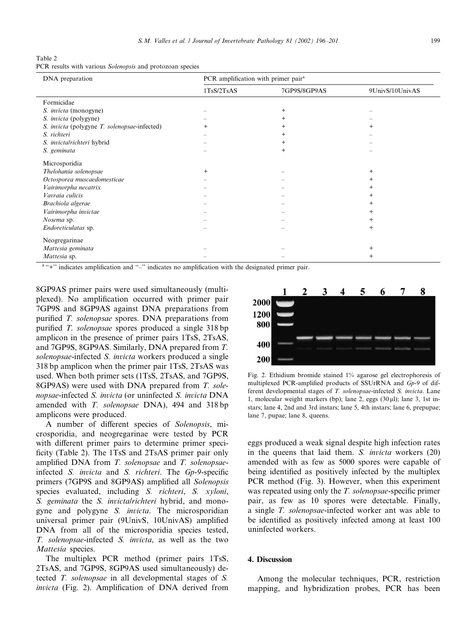Table 2 PCR results with various Solenopsis and protozoan species

| DNA preparation                              | PCR amplification with primer pair <sup>a</sup> |                |                 |  |
|----------------------------------------------|-------------------------------------------------|----------------|-----------------|--|
|                                              | 1TsS/2TsAS                                      | 7GP9S/8GP9AS   | 9UnivS/10UnivAS |  |
| Formicidae                                   |                                                 |                |                 |  |
| S. <i>invicta</i> (monogyne)                 |                                                 | $\overline{+}$ |                 |  |
| S. <i>invicta</i> (polygyne)                 |                                                 |                |                 |  |
| S. invicta (polygyne T. solenopsae-infected) | $^{+}$                                          |                | $^+$            |  |
| S. richteri                                  |                                                 |                |                 |  |
| S. invictalrichteri hybrid                   |                                                 |                |                 |  |
| S. geminata                                  |                                                 | $^{+}$         |                 |  |
| Microsporidia                                |                                                 |                |                 |  |
| Thelohania solenopsae                        | $+$                                             |                | $^{+}$          |  |
| Octosporea muscaedomesticae                  |                                                 |                | $\pm$           |  |
| Vairimorpha necatrix                         |                                                 |                | $^+$            |  |
| Vavraia culicis                              |                                                 |                | $^+$            |  |
| Brachiola algerae                            |                                                 |                | $\pm$           |  |
| Vairimorpha invictae                         |                                                 |                | $\pm$           |  |
| Nosema sp.                                   |                                                 |                | $\ddot{}$       |  |
| Endoreticulatas sp.                          |                                                 |                | $\overline{+}$  |  |
| Neogregarinae                                |                                                 |                |                 |  |
| Mattesia geminata                            |                                                 |                | $^{+}$          |  |
| Mattesia sp.                                 |                                                 |                | $\pm$           |  |

<sup>a</sup> "+" indicates amplification and "-" indicates no amplification with the designated primer pair.

8GP9AS primer pairs were used simultaneously (multiplexed). No amplification occurred with primer pair 7GP9S and 8GP9AS against DNA preparations from purified T. solenopsae spores. DNA preparations from purified T. solenopsae spores produced a single 318 bp amplicon in the presence of primer pairs 1TsS, 2TsAS, and 7GP9S, 8GP9AS. Similarly, DNA prepared from T. solenopsae-infected S. invicta workers produced a single 318 bp amplicon when the primer pair 1TsS, 2TsAS was used. When both primer sets (1TsS, 2TsAS, and 7GP9S, 8GP9AS) were used with DNA prepared from T. solenopsae-infected S. invicta (or uninfected S. invicta DNA amended with *T. solenopsae* DNA), 494 and 318 bp amplicons were produced.

A number of different species of Solenopsis, microsporidia, and neogregarinae were tested by PCR with different primer pairs to determine primer specificity (Table 2). The 1TsS and 2TsAS primer pair only amplified DNA from T. solenopsae and T. solenopsaeinfected S. invicta and S. richteri. The Gp-9-specific primers (7GP9S and 8GP9AS) amplified all Solenopsis species evaluated, including S. richteri, S. xyloni, S. geminata the S. invictalrichteri hybrid, and monogyne and polygyne S. *invicta*. The microsporidian universal primer pair (9UnivS, 10UnivAS) amplified DNA from all of the microsporidia species tested, T. solenopsae-infected S. invicta, as well as the two Mattesia species.

The multiplex PCR method (primer pairs 1TsS, 2TsAS, and 7GP9S, 8GP9AS used simultaneously) detected T. solenopsae in all developmental stages of S. invicta (Fig. 2). Amplification of DNA derived from



Fig. 2. Ethidium bromide stained 1% agarose gel electrophoresis of multiplexed PCR-amplified products of SSUrRNA and Gp-9 of different developmental stages of T. solenopsae-infected S. invicta. Lane 1, molecular weight markers (bp); lane 2, eggs  $(30 \,\mu\text{I})$ ; lane 3, 1st instars; lane 4, 2nd and 3rd instars; lane 5, 4th instars; lane 6, prepupae; lane 7, pupae; lane 8, queens.

eggs produced a weak signal despite high infection rates in the queens that laid them. S. invicta workers (20) amended with as few as 5000 spores were capable of being identified as positively infected by the multiplex PCR method (Fig. 3). However, when this experiment was repeated using only the T. solenopsae-specific primer pair, as few as 10 spores were detectable. Finally, a single T. solenopsae-infected worker ant was able to be identified as positively infected among at least 100 uninfected workers.

## 4. Discussion

Among the molecular techniques, PCR, restriction mapping, and hybridization probes, PCR has been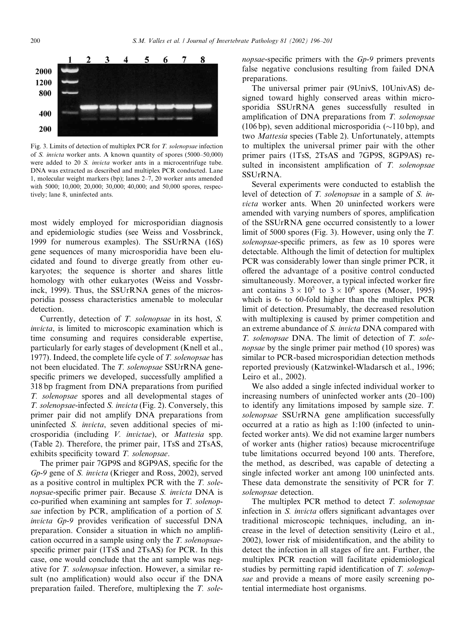

Fig. 3. Limits of detection of multiplex PCR for T. solenopsae infection of S. invicta worker ants. A known quantity of spores (5000–50,000) were added to 20 S. invicta worker ants in a microcentrifuge tube. DNA was extracted as described and multiplex PCR conducted. Lane 1, molecular weight markers (bp); lanes 2–7, 20 worker ants amended with 5000; 10,000; 20,000; 30,000; 40,000; and 50,000 spores, respectively; lane 8, uninfected ants.

most widely employed for microsporidian diagnosis and epidemiologic studies (see Weiss and Vossbrinck, 1999 for numerous examples). The SSUrRNA (16S) gene sequences of many microsporidia have been elucidated and found to diverge greatly from other eukaryotes; the sequence is shorter and shares little homology with other eukaryotes (Weiss and Vossbrinck, 1999). Thus, the SSUrRNA genes of the microsporidia possess characteristics amenable to molecular detection.

Currently, detection of T. solenopsae in its host, S. invicta, is limited to microscopic examination which is time consuming and requires considerable expertise, particularly for early stages of development (Knell et al., 1977). Indeed, the complete life cycle of T. solenopsae has not been elucidated. The T. solenopsae SSUrRNA genespecific primers we developed, successfully amplified a 318 bp fragment from DNA preparations from purified T. solenopsae spores and all developmental stages of T. solenopsae-infected S. invicta (Fig. 2). Conversely, this primer pair did not amplify DNA preparations from uninfected S. invicta, seven additional species of microsporidia (including V. invictae), or Mattesia spp. (Table 2). Therefore, the primer pair, 1TsS and 2TsAS, exhibits specificity toward T. solenopsae.

The primer pair 7GP9S and 8GP9AS, specific for the Gp-9 gene of S. invicta (Krieger and Ross, 2002), served as a positive control in multiplex PCR with the T. solenopsae-specific primer pair. Because S. invicta DNA is co-purified when examining ant samples for T. solenopsae infection by PCR, amplification of a portion of S. invicta Gp-9 provides verification of successful DNA preparation. Consider a situation in which no amplification occurred in a sample using only the T. solenopsaespecific primer pair (1TsS and 2TsAS) for PCR. In this case, one would conclude that the ant sample was negative for T. solenopsae infection. However, a similar result (no amplification) would also occur if the DNA preparation failed. Therefore, multiplexing the T. solenopsae-specific primers with the Gp-9 primers prevents false negative conclusions resulting from failed DNA preparations.

The universal primer pair (9UnivS, 10UnivAS) designed toward highly conserved areas within microsporidia SSUrRNA genes successfully resulted in amplification of DNA preparations from T. solenopsae (106 bp), seven additional microsporidia ( $\sim$ 110 bp), and two Mattesia species (Table 2). Unfortunately, attempts to multiplex the universal primer pair with the other primer pairs (1TsS, 2TsAS and 7GP9S, 8GP9AS) resulted in inconsistent amplification of T. solenopsae SSUrRNA.

Several experiments were conducted to establish the level of detection of T. solenopsae in a sample of S. invicta worker ants. When 20 uninfected workers were amended with varying numbers of spores, amplification of the SSUrRNA gene occurred consistently to a lower limit of 5000 spores (Fig. 3). However, using only the T. solenopsae-specific primers, as few as 10 spores were detectable. Although the limit of detection for multiplex PCR was considerably lower than single primer PCR, it offered the advantage of a positive control conducted simultaneously. Moreover, a typical infected worker fire ant contains  $3 \times 10^5$  to  $3 \times 10^6$  spores (Moser, 1995) which is 6- to 60-fold higher than the multiplex PCR limit of detection. Presumably, the decreased resolution with multiplexing is caused by primer competition and an extreme abundance of S. invicta DNA compared with T. solenopsae DNA. The limit of detection of T. solenopsae by the single primer pair method (10 spores) was similar to PCR-based microsporidian detection methods reported previously (Katzwinkel-Wladarsch et al., 1996; Leiro et al., 2002).

We also added a single infected individual worker to increasing numbers of uninfected worker ants (20–100) to identify any limitations imposed by sample size. T. solenopsae SSUrRNA gene amplification successfully occurred at a ratio as high as 1:100 (infected to uninfected worker ants). We did not examine larger numbers of worker ants (higher ratios) because microcentrifuge tube limitations occurred beyond 100 ants. Therefore, the method, as described, was capable of detecting a single infected worker ant among 100 uninfected ants. These data demonstrate the sensitivity of PCR for T. solenopsae detection.

The multiplex PCR method to detect T. solenopsae infection in *S. invicta* offers significant advantages over traditional microscopic techniques, including, an increase in the level of detection sensitivity (Leiro et al., 2002), lower risk of misidentification, and the ability to detect the infection in all stages of fire ant. Further, the multiplex PCR reaction will facilitate epidemiological studies by permitting rapid identification of T. solenopsae and provide a means of more easily screening potential intermediate host organisms.